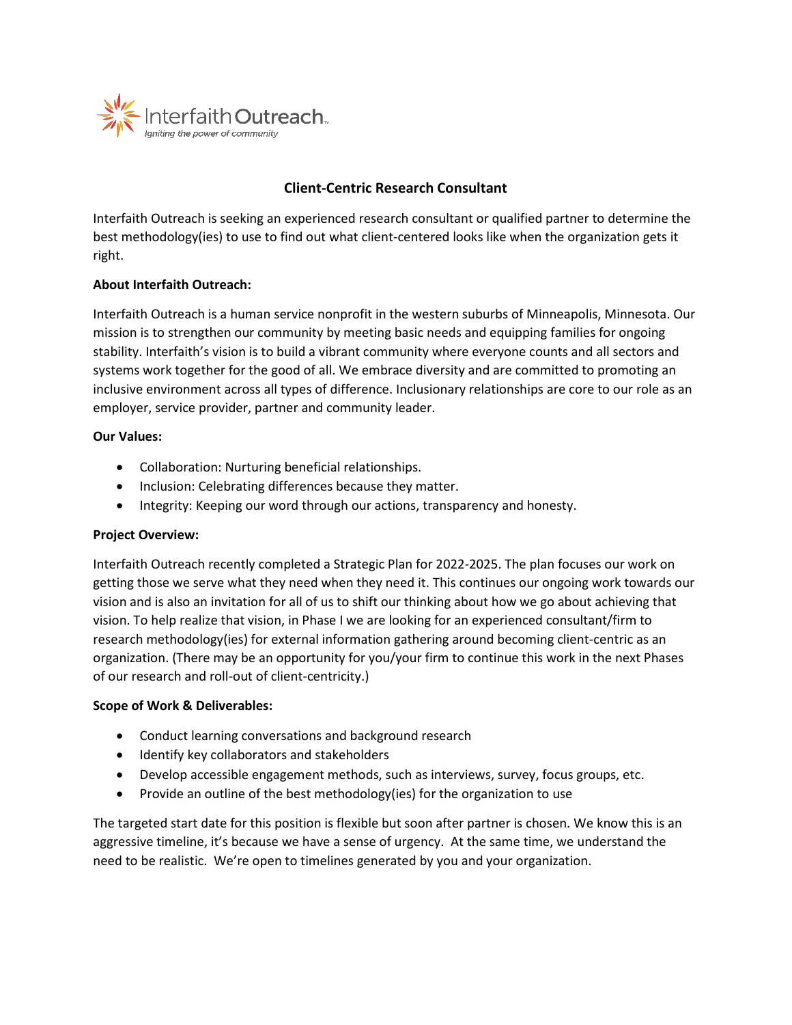

# **Client-Centric Research Consultant**

Interfaith Outreach is seeking an experienced research consultant or qualified partner to determine the best methodology(ies) to use to find out what client-centered looks like when the organization gets it right.

## **About Interfaith Outreach:**

Interfaith Outreach is a human service nonprofit in the western suburbs of Minneapolis, Minnesota. Our mission is to strengthen our community by meeting basic needs and equipping families for ongoing stability. Interfaith's vision is to build a vibrant community where everyone counts and all sectors and systems work together for the good of all. We embrace diversity and are committed to promoting an inclusive environment across all types of difference. Inclusionary relationships are core to our role as an employer, service provider, partner and community leader.

## **Our Values:**

- Collaboration: Nurturing beneficial relationships.
- Inclusion: Celebrating differences because they matter.
- Integrity: Keeping our word through our actions, transparency and honesty.

## **Project Overview:**

Interfaith Outreach recently completed a Strategic Plan for 2022-2025. The plan focuses our work on getting those we serve what they need when they need it. This continues our ongoing work towards our vision and is also an invitation for all of us to shift our thinking about how we go about achieving that vision. To help realize that vision, in Phase I we are looking for an experienced consultant/firm to research methodology(ies) for external information gathering around becoming client-centric as an organization. (There may be an opportunity for you/your firm to continue this work in the next Phases of our research and roll-out of client-centricity.)

#### **Scope of Work & Deliverables:**

- Conduct learning conversations and background research
- Identify key collaborators and stakeholders
- Develop accessible engagement methods, such as interviews, survey, focus groups, etc.
- Provide an outline of the best methodology(ies) for the organization to use

The targeted start date for this position is flexible but soon after partner is chosen. We know this is an aggressive timeline, it's because we have a sense of urgency. At the same time, we understand the need to be realistic. We're open to timelines generated by you and your organization.